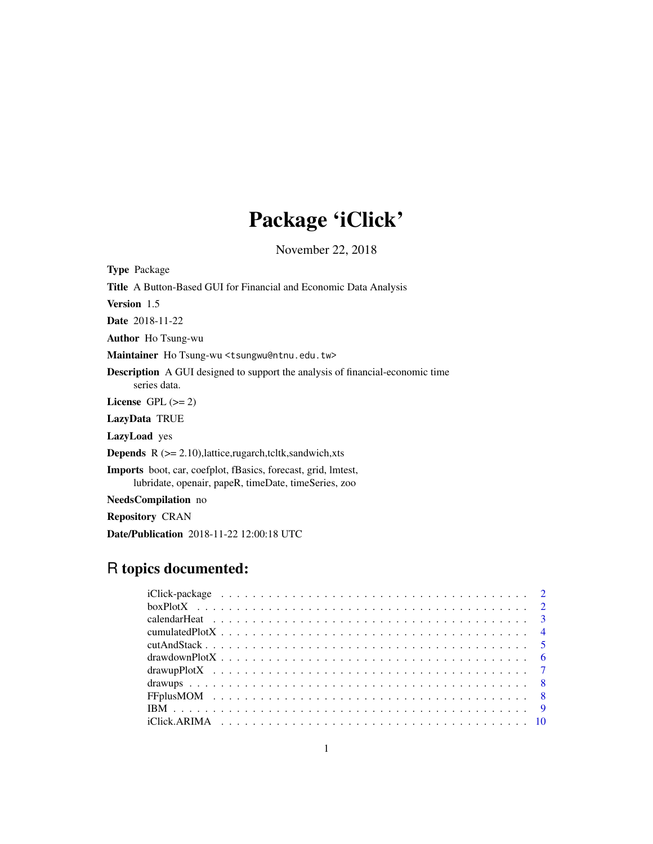# Package 'iClick'

November 22, 2018

Type Package Title A Button-Based GUI for Financial and Economic Data Analysis Version 1.5 Date 2018-11-22 Author Ho Tsung-wu Maintainer Ho Tsung-wu <tsungwu@ntnu.edu.tw> Description A GUI designed to support the analysis of financial-economic time series data. License GPL  $(>= 2)$ LazyData TRUE LazyLoad yes **Depends**  $R$  ( $>= 2.10$ ), lattice, rugarch, tcltk, sandwich, xts Imports boot, car, coefplot, fBasics, forecast, grid, lmtest, lubridate, openair, papeR, timeDate, timeSeries, zoo NeedsCompilation no

Repository CRAN

Date/Publication 2018-11-22 12:00:18 UTC

# R topics documented: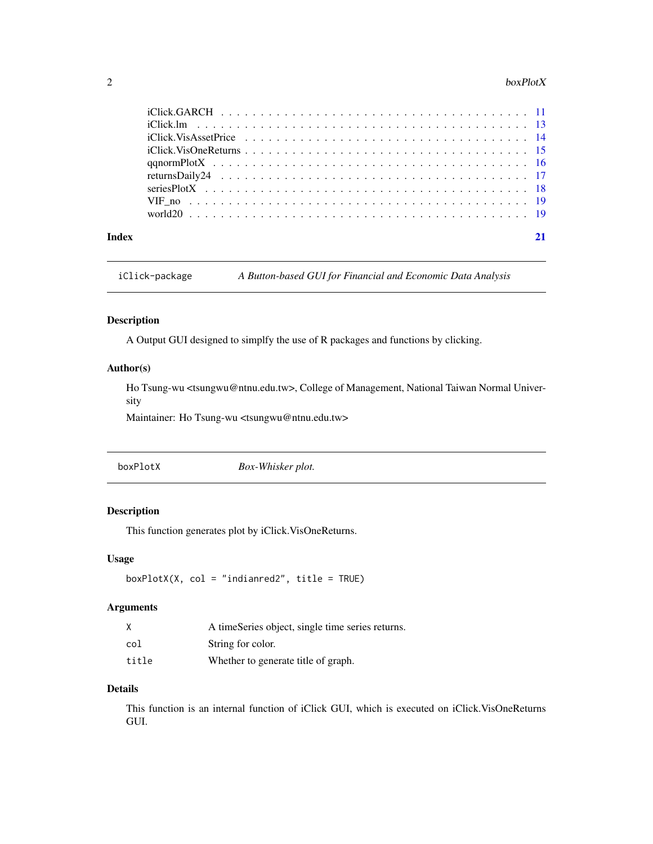#### <span id="page-1-0"></span>2 boxPlotX

| Index |  |
|-------|--|

iClick-package *A Button-based GUI for Financial and Economic Data Analysis*

#### Description

A Output GUI designed to simplfy the use of R packages and functions by clicking.

#### Author(s)

Ho Tsung-wu <tsungwu@ntnu.edu.tw>, College of Management, National Taiwan Normal University

Maintainer: Ho Tsung-wu <tsungwu@ntnu.edu.tw>

|--|

#### Description

This function generates plot by iClick.VisOneReturns.

#### Usage

```
boxPlotX(X, col = "indianred2", title = TRUE)
```
#### Arguments

|       | A timeSeries object, single time series returns. |
|-------|--------------------------------------------------|
| col   | String for color.                                |
| title | Whether to generate title of graph.              |

#### Details

This function is an internal function of iClick GUI, which is executed on iClick.VisOneReturns GUI.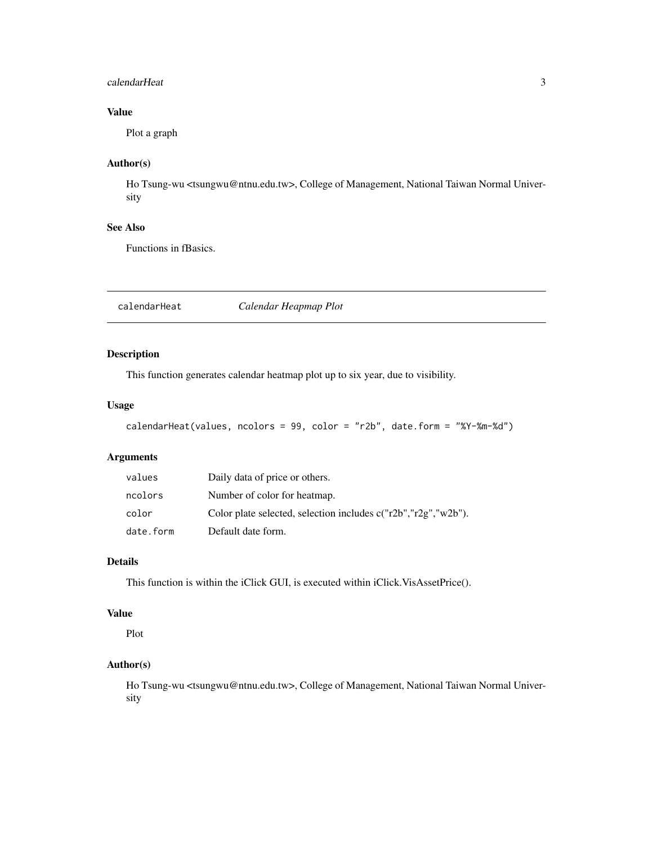#### <span id="page-2-0"></span>calendarHeat 3

# Value

Plot a graph

# Author(s)

Ho Tsung-wu <tsungwu@ntnu.edu.tw>, College of Management, National Taiwan Normal University

#### See Also

Functions in fBasics.

calendarHeat *Calendar Heapmap Plot*

#### Description

This function generates calendar heatmap plot up to six year, due to visibility.

#### Usage

```
calendarHeat(values, ncolors = 99, color = "r2b", date.form = "%Y-%m-%d")
```
# Arguments

| values    | Daily data of price or others.                                     |
|-----------|--------------------------------------------------------------------|
| ncolors   | Number of color for heatmap.                                       |
| color     | Color plate selected, selection includes $c("r2b", "r2g", "w2b").$ |
| date.form | Default date form.                                                 |

#### Details

This function is within the iClick GUI, is executed within iClick.VisAssetPrice().

#### Value

Plot

#### Author(s)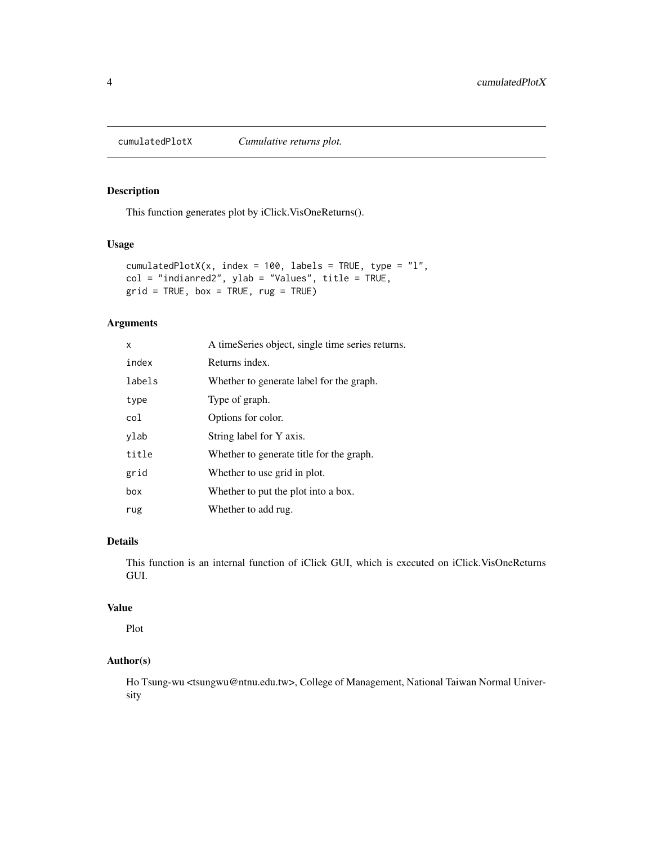<span id="page-3-0"></span>

This function generates plot by iClick.VisOneReturns().

#### Usage

```
cumulatedPlotX(x, index = 100, labels = TRUE, type = "l",col = "indianred2", ylab = "Values", title = TRUE,grid = TRUE, box = TRUE, rug = TRUE)
```
#### Arguments

| x      | A timeSeries object, single time series returns. |
|--------|--------------------------------------------------|
| index  | Returns index.                                   |
| labels | Whether to generate label for the graph.         |
| type   | Type of graph.                                   |
| col    | Options for color.                               |
| ylab   | String label for Y axis.                         |
| title  | Whether to generate title for the graph.         |
| grid   | Whether to use grid in plot.                     |
| box    | Whether to put the plot into a box.              |
| rug    | Whether to add rug.                              |

#### Details

This function is an internal function of iClick GUI, which is executed on iClick.VisOneReturns GUI.

#### Value

Plot

#### Author(s)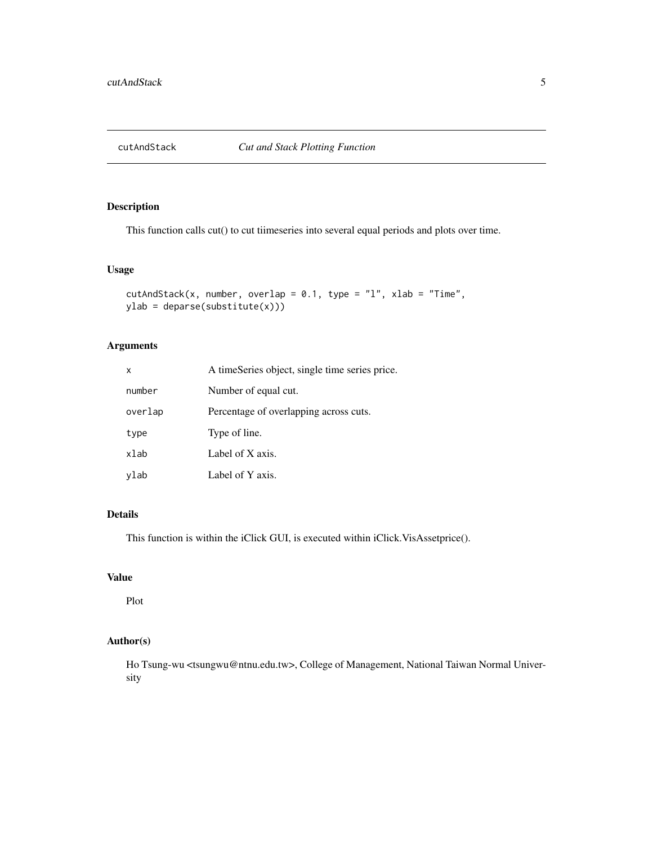<span id="page-4-0"></span>

This function calls cut() to cut tiimeseries into several equal periods and plots over time.

#### Usage

```
cutAndStack(x, number, overlap = 0.1, type = "l", xlab = "Time",
ylab = deparse(substitute(x)))
```
#### Arguments

| X       | A timeSeries object, single time series price. |
|---------|------------------------------------------------|
| number  | Number of equal cut.                           |
| overlap | Percentage of overlapping across cuts.         |
| type    | Type of line.                                  |
| xlab    | Label of X axis.                               |
| ylab    | Label of Y axis.                               |

#### Details

This function is within the iClick GUI, is executed within iClick.VisAssetprice().

#### Value

Plot

#### Author(s)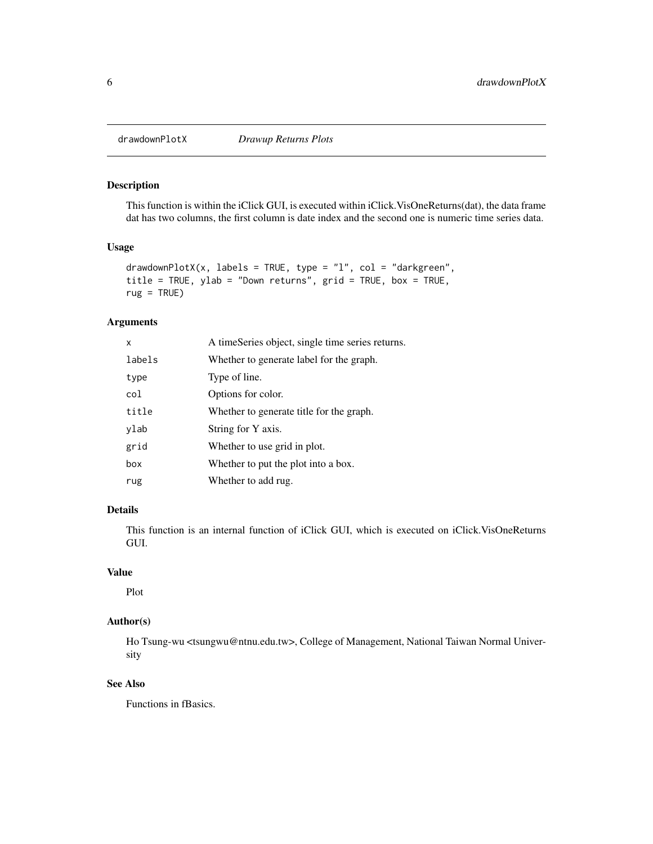<span id="page-5-0"></span>

This function is within the iClick GUI, is executed within iClick.VisOneReturns(dat), the data frame dat has two columns, the first column is date index and the second one is numeric time series data.

#### Usage

```
drawdownPlotX(x, labels = TRUE, type = "l", col = "darkgreen",
title = TRUE, ylab = "Down returns", grid = TRUE, box = TRUE,
rug = TRUE)
```
#### Arguments

| X      | A timeSeries object, single time series returns. |
|--------|--------------------------------------------------|
| labels | Whether to generate label for the graph.         |
| type   | Type of line.                                    |
| col    | Options for color.                               |
| title  | Whether to generate title for the graph.         |
| ylab   | String for Y axis.                               |
| grid   | Whether to use grid in plot.                     |
| box    | Whether to put the plot into a box.              |
| rug    | Whether to add rug.                              |

#### Details

This function is an internal function of iClick GUI, which is executed on iClick.VisOneReturns GUI.

#### Value

Plot

#### Author(s)

Ho Tsung-wu <tsungwu@ntnu.edu.tw>, College of Management, National Taiwan Normal University

#### See Also

Functions in fBasics.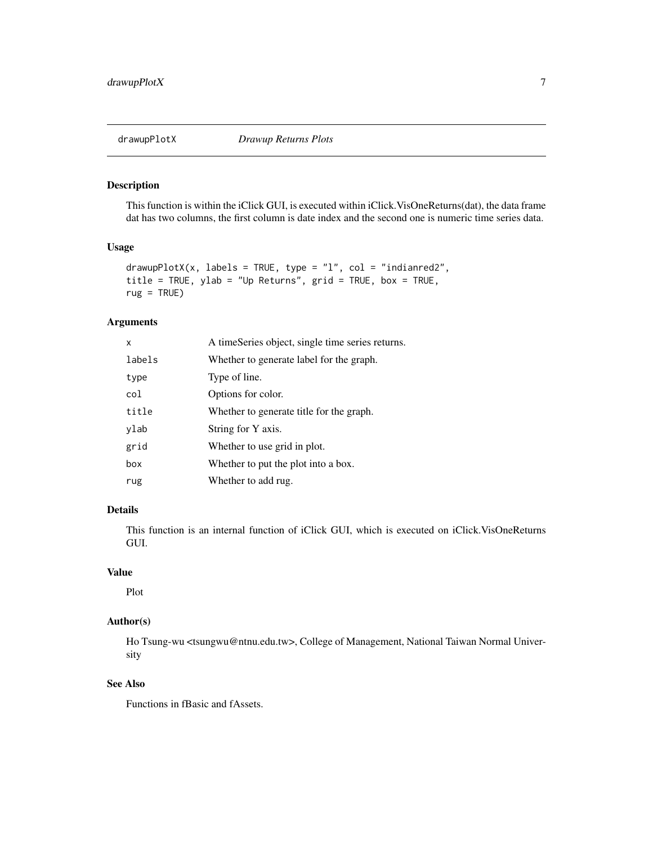<span id="page-6-0"></span>

This function is within the iClick GUI, is executed within iClick.VisOneReturns(dat), the data frame dat has two columns, the first column is date index and the second one is numeric time series data.

#### Usage

```
drawupPlotX(x, labels = TRUE, type = "l", col = "indianred2",title = TRUE, ylab = "Up Returns", grid = TRUE, box = TRUE,
rug = TRUE)
```
#### Arguments

| X      | A timeSeries object, single time series returns. |
|--------|--------------------------------------------------|
| labels | Whether to generate label for the graph.         |
| type   | Type of line.                                    |
| col    | Options for color.                               |
| title  | Whether to generate title for the graph.         |
| ylab   | String for Y axis.                               |
| grid   | Whether to use grid in plot.                     |
| box    | Whether to put the plot into a box.              |
| rug    | Whether to add rug.                              |

#### Details

This function is an internal function of iClick GUI, which is executed on iClick.VisOneReturns GUI.

#### Value

Plot

# Author(s)

Ho Tsung-wu <tsungwu@ntnu.edu.tw>, College of Management, National Taiwan Normal University

#### See Also

Functions in fBasic and fAssets.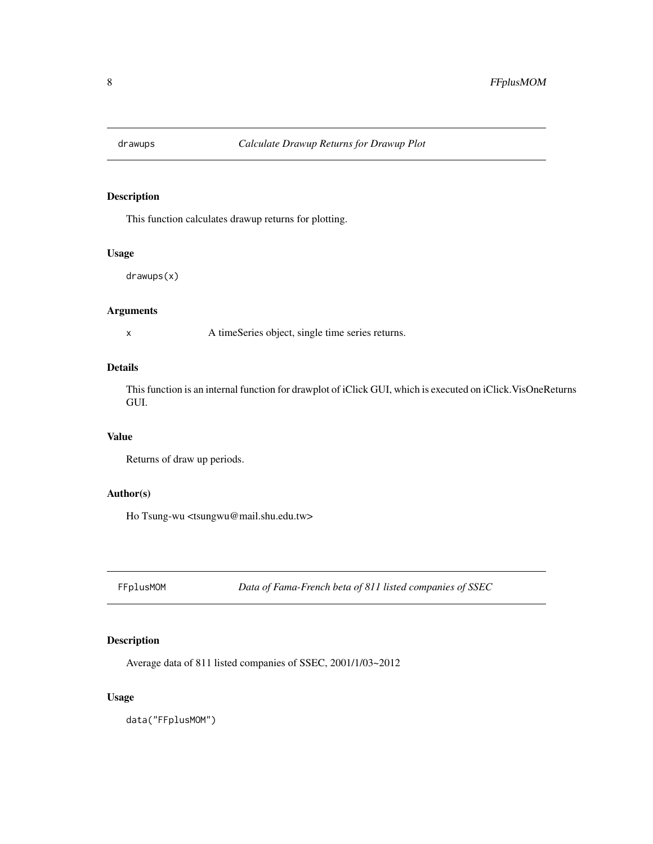<span id="page-7-0"></span>

This function calculates drawup returns for plotting.

#### Usage

drawups(x)

### Arguments

x A timeSeries object, single time series returns.

# Details

This function is an internal function for drawplot of iClick GUI, which is executed on iClick.VisOneReturns GUI.

#### Value

Returns of draw up periods.

#### Author(s)

Ho Tsung-wu <tsungwu@mail.shu.edu.tw>

FFplusMOM *Data of Fama-French beta of 811 listed companies of SSEC*

#### Description

Average data of 811 listed companies of SSEC, 2001/1/03~2012

#### Usage

data("FFplusMOM")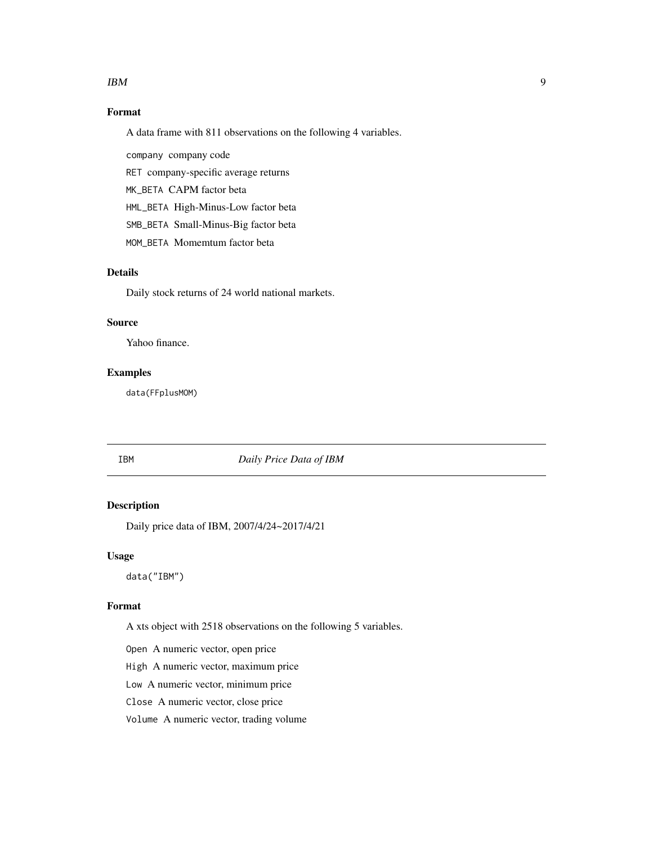#### <span id="page-8-0"></span> $IBM$  9

# Format

A data frame with 811 observations on the following 4 variables.

company company code

RET company-specific average returns

MK\_BETA CAPM factor beta

HML\_BETA High-Minus-Low factor beta

SMB\_BETA Small-Minus-Big factor beta

MOM\_BETA Momemtum factor beta

#### Details

Daily stock returns of 24 world national markets.

#### Source

Yahoo finance.

#### Examples

data(FFplusMOM)

IBM *Daily Price Data of IBM*

#### Description

Daily price data of IBM, 2007/4/24~2017/4/21

#### Usage

data("IBM")

#### Format

A xts object with 2518 observations on the following 5 variables.

Open A numeric vector, open price

High A numeric vector, maximum price

Low A numeric vector, minimum price

Close A numeric vector, close price

Volume A numeric vector, trading volume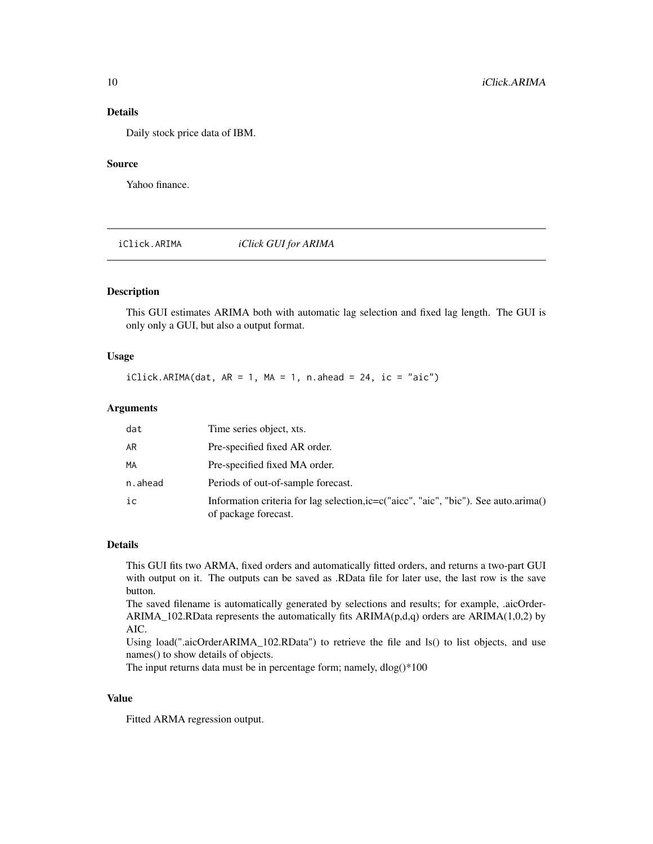#### Details

Daily stock price data of IBM.

#### Source

Yahoo finance.

iClick.ARIMA *iClick GUI for ARIMA*

#### Description

This GUI estimates ARIMA both with automatic lag selection and fixed lag length. The GUI is only only a GUI, but also a output format.

#### Usage

 $iClick.ARIMA(data, AR = 1, MA = 1, n.ahead = 24, ic = "aic")$ 

#### Arguments

| dat     | Time series object, xts.                                                                                     |
|---------|--------------------------------------------------------------------------------------------------------------|
| AR      | Pre-specified fixed AR order.                                                                                |
| MA      | Pre-specified fixed MA order.                                                                                |
| n.ahead | Periods of out-of-sample forecast.                                                                           |
| ic      | Information criteria for lag selection, ic=c("aicc", "aic", "bic"). See auto.arima()<br>of package forecast. |

#### Details

This GUI fits two ARMA, fixed orders and automatically fitted orders, and returns a two-part GUI with output on it. The outputs can be saved as .RData file for later use, the last row is the save button.

The saved filename is automatically generated by selections and results; for example, .aicOrder-ARIMA\_102.RData represents the automatically fits  $ARIMA(p,d,q)$  orders are  $ARIMA(1,0,2)$  by AIC.

Using load(".aicOrderARIMA\_102.RData") to retrieve the file and ls() to list objects, and use names() to show details of objects.

The input returns data must be in percentage form; namely, dlog()\*100

#### Value

Fitted ARMA regression output.

<span id="page-9-0"></span>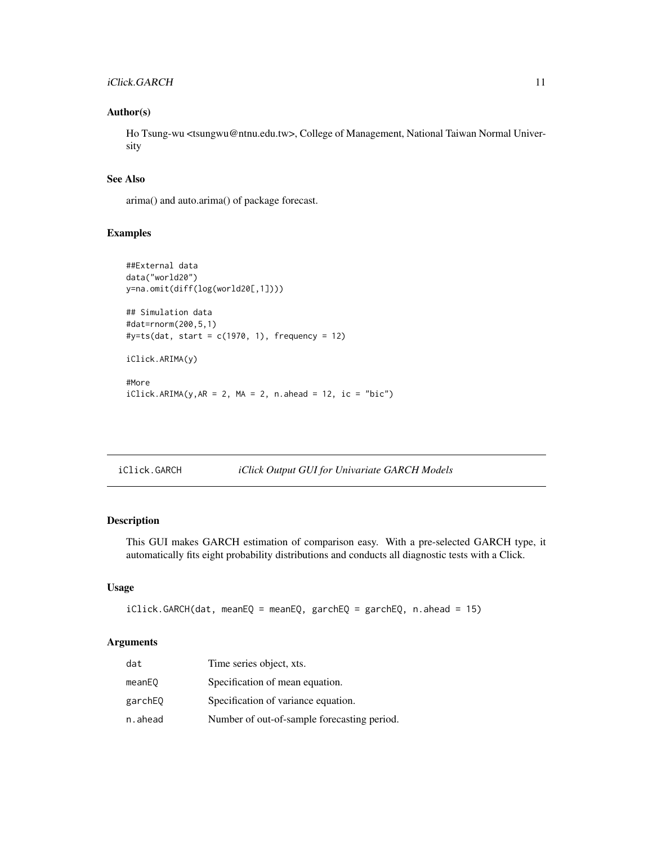#### <span id="page-10-0"></span>iClick.GARCH 11

#### Author(s)

Ho Tsung-wu <tsungwu@ntnu.edu.tw>, College of Management, National Taiwan Normal University

#### See Also

arima() and auto.arima() of package forecast.

#### Examples

```
##External data
data("world20")
y=na.omit(diff(log(world20[,1])))
## Simulation data
#dat=rnorm(200,5,1)
\#y=ts(data, start = c(1970, 1), frequency = 12)iClick.ARIMA(y)
#More
iClick.ARIMA(y, AR = 2, MA = 2, n. ahead = 12, ic = "bic")
```

| iClick.GARCH |  |  |  | <i>iClick Output GUI for Univariate GARCH Models</i> |
|--------------|--|--|--|------------------------------------------------------|
|--------------|--|--|--|------------------------------------------------------|

# Description

This GUI makes GARCH estimation of comparison easy. With a pre-selected GARCH type, it automatically fits eight probability distributions and conducts all diagnostic tests with a Click.

#### Usage

```
iClick.GARCH(dat, meanEQ = meanEQ, garchEQ = garchEQ, n.ahead = 15)
```
#### Arguments

| dat     | Time series object, xts.                    |
|---------|---------------------------------------------|
| meanEQ  | Specification of mean equation.             |
| garchEQ | Specification of variance equation.         |
| n.ahead | Number of out-of-sample forecasting period. |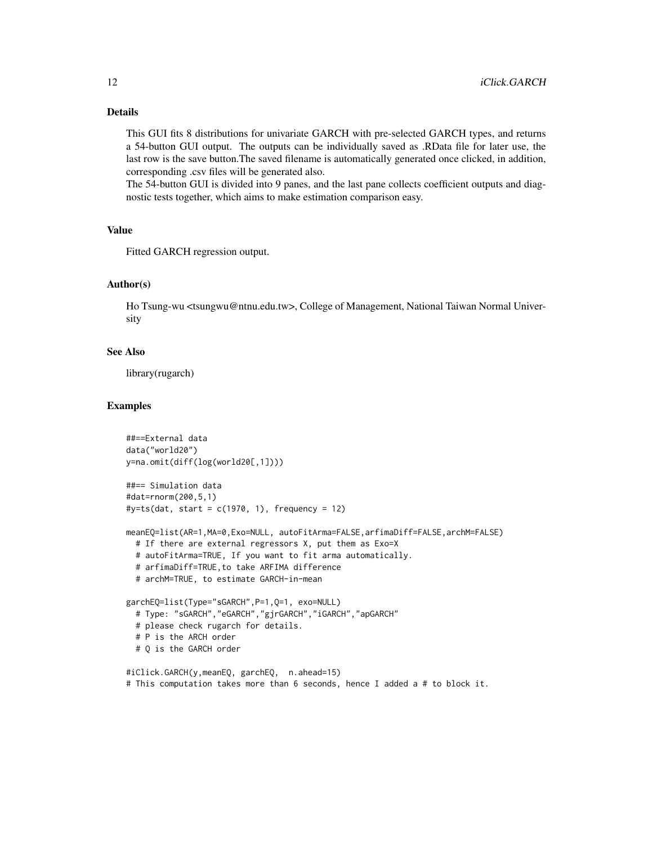#### Details

This GUI fits 8 distributions for univariate GARCH with pre-selected GARCH types, and returns a 54-button GUI output. The outputs can be individually saved as .RData file for later use, the last row is the save button.The saved filename is automatically generated once clicked, in addition, corresponding .csv files will be generated also.

The 54-button GUI is divided into 9 panes, and the last pane collects coefficient outputs and diagnostic tests together, which aims to make estimation comparison easy.

#### Value

Fitted GARCH regression output.

#### Author(s)

Ho Tsung-wu <tsungwu@ntnu.edu.tw>, College of Management, National Taiwan Normal University

#### See Also

library(rugarch)

#### Examples

```
##==External data
data("world20")
y=na.omit(diff(log(world20[,1])))
##== Simulation data
#dat=rnorm(200,5,1)
\#y=ts(dat, start = c(1970, 1), frequency = 12)
meanEQ=list(AR=1,MA=0,Exo=NULL, autoFitArma=FALSE,arfimaDiff=FALSE,archM=FALSE)
 # If there are external regressors X, put them as Exo=X
 # autoFitArma=TRUE, If you want to fit arma automatically.
 # arfimaDiff=TRUE,to take ARFIMA difference
 # archM=TRUE, to estimate GARCH-in-mean
garchEQ=list(Type="sGARCH",P=1,Q=1, exo=NULL)
 # Type: "sGARCH","eGARCH","gjrGARCH","iGARCH","apGARCH"
 # please check rugarch for details.
 # P is the ARCH order
 # Q is the GARCH order
#iClick.GARCH(y,meanEQ, garchEQ, n.ahead=15)
# This computation takes more than 6 seconds, hence I added a # to block it.
```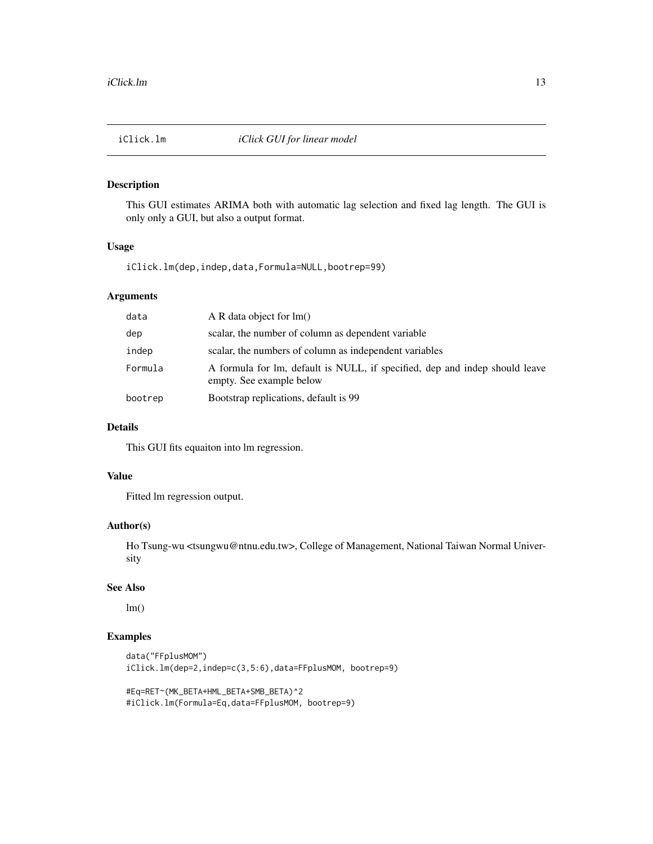<span id="page-12-0"></span>This GUI estimates ARIMA both with automatic lag selection and fixed lag length. The GUI is only only a GUI, but also a output format.

#### Usage

iClick.lm(dep,indep,data,Formula=NULL,bootrep=99)

### Arguments

| data    | A R data object for $lm()$                                                                              |
|---------|---------------------------------------------------------------------------------------------------------|
| dep     | scalar, the number of column as dependent variable                                                      |
| indep   | scalar, the numbers of column as independent variables                                                  |
| Formula | A formula for lm, default is NULL, if specified, dep and indep should leave<br>empty. See example below |
| bootrep | Bootstrap replications, default is 99                                                                   |

#### Details

This GUI fits equaiton into lm regression.

#### Value

Fitted lm regression output.

#### Author(s)

Ho Tsung-wu <tsungwu@ntnu.edu.tw>, College of Management, National Taiwan Normal University

#### See Also

 $lm()$ 

#### Examples

```
data("FFplusMOM")
iClick.lm(dep=2,indep=c(3,5:6),data=FFplusMOM, bootrep=9)
```
#Eq=RET~(MK\_BETA+HML\_BETA+SMB\_BETA)^2 #iClick.lm(Formula=Eq,data=FFplusMOM, bootrep=9)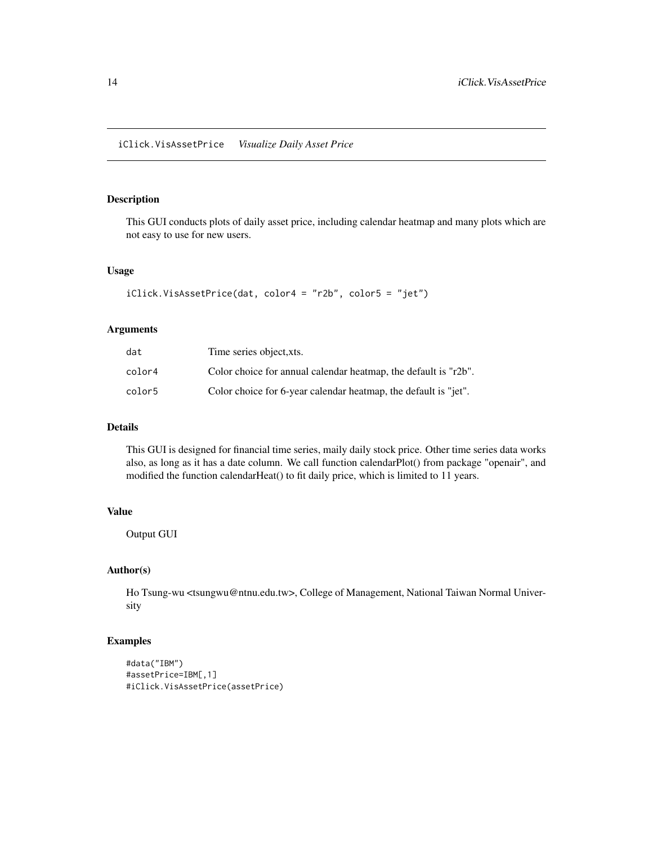<span id="page-13-0"></span>This GUI conducts plots of daily asset price, including calendar heatmap and many plots which are not easy to use for new users.

#### Usage

```
iClick.VisAssetPrice(dat, color4 = "r2b", color5 = "jet")
```
#### Arguments

| dat    | Time series object, xts.                                            |
|--------|---------------------------------------------------------------------|
| color4 | Color choice for annual calendar heatmap, the default is " $r2b$ ". |
| color5 | Color choice for 6-year calendar heatmap, the default is "jet".     |

#### Details

This GUI is designed for financial time series, maily daily stock price. Other time series data works also, as long as it has a date column. We call function calendarPlot() from package "openair", and modified the function calendarHeat() to fit daily price, which is limited to 11 years.

#### Value

Output GUI

#### Author(s)

Ho Tsung-wu <tsungwu@ntnu.edu.tw>, College of Management, National Taiwan Normal University

#### Examples

```
#data("IBM")
#assetPrice=IBM[,1]
#iClick.VisAssetPrice(assetPrice)
```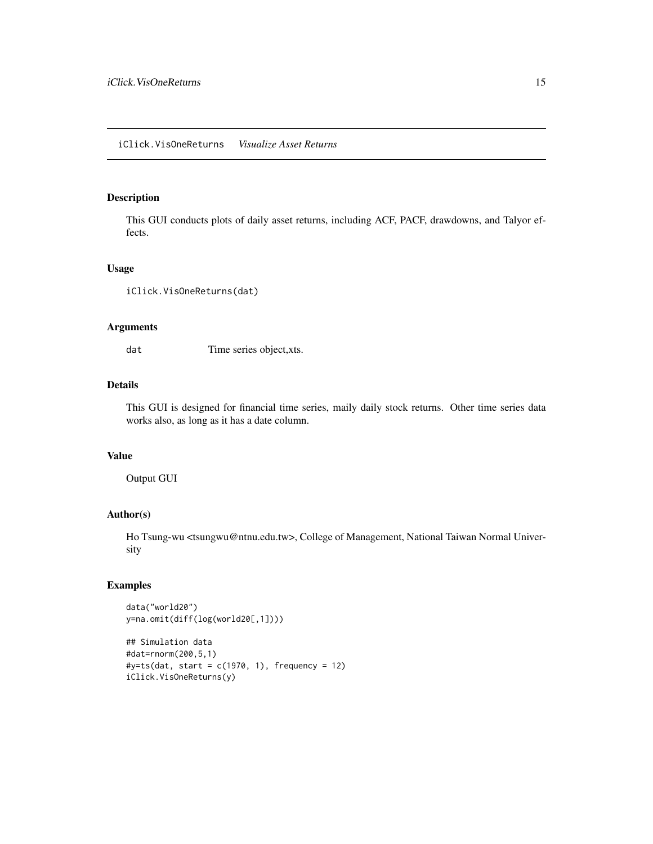#### <span id="page-14-0"></span>iClick.VisOneReturns *Visualize Asset Returns*

#### Description

This GUI conducts plots of daily asset returns, including ACF, PACF, drawdowns, and Talyor effects.

#### Usage

```
iClick.VisOneReturns(dat)
```
#### Arguments

dat Time series object, xts.

#### Details

This GUI is designed for financial time series, maily daily stock returns. Other time series data works also, as long as it has a date column.

#### Value

Output GUI

### Author(s)

Ho Tsung-wu <tsungwu@ntnu.edu.tw>, College of Management, National Taiwan Normal University

#### Examples

```
data("world20")
y=na.omit(diff(log(world20[,1])))
```

```
## Simulation data
#dat=rnorm(200,5,1)
\#y=ts(data, start = c(1970, 1), frequency = 12)iClick.VisOneReturns(y)
```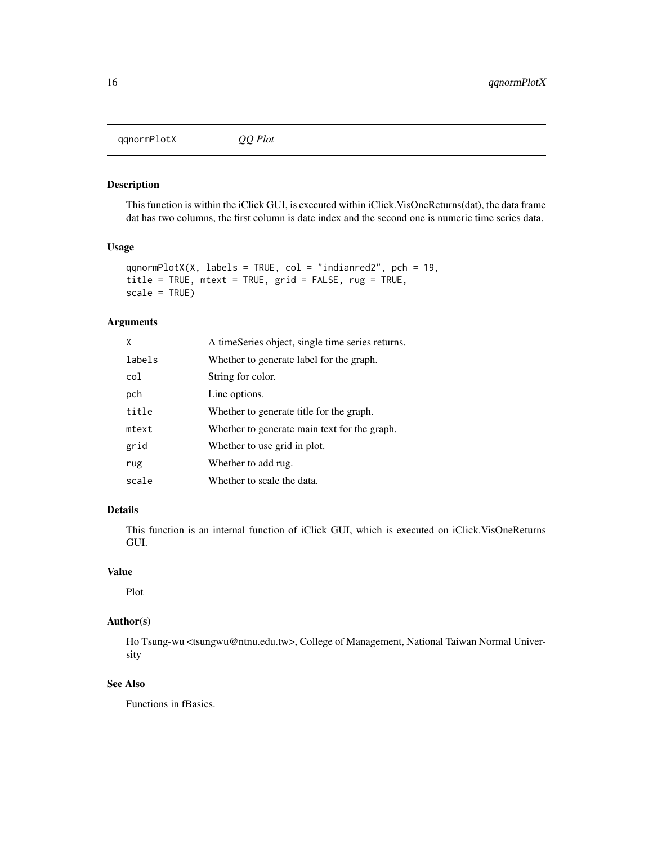<span id="page-15-0"></span>qqnormPlotX *QQ Plot*

#### Description

This function is within the iClick GUI, is executed within iClick.VisOneReturns(dat), the data frame dat has two columns, the first column is date index and the second one is numeric time series data.

#### Usage

```
qqnormPlotX(X, labels = TRUE, col = "indianred2", pch = 19,
title = TRUE, mtext = TRUE, grid = FALSE, rug = TRUE,
scale = TRUE)
```
#### Arguments

| X      | A timeSeries object, single time series returns. |
|--------|--------------------------------------------------|
| labels | Whether to generate label for the graph.         |
| col    | String for color.                                |
| pch    | Line options.                                    |
| title  | Whether to generate title for the graph.         |
| mtext  | Whether to generate main text for the graph.     |
| grid   | Whether to use grid in plot.                     |
| rug    | Whether to add rug.                              |
| scale  | Whether to scale the data.                       |

#### Details

This function is an internal function of iClick GUI, which is executed on iClick.VisOneReturns GUI.

#### Value

Plot

### Author(s)

Ho Tsung-wu <tsungwu@ntnu.edu.tw>, College of Management, National Taiwan Normal University

# See Also

Functions in fBasics.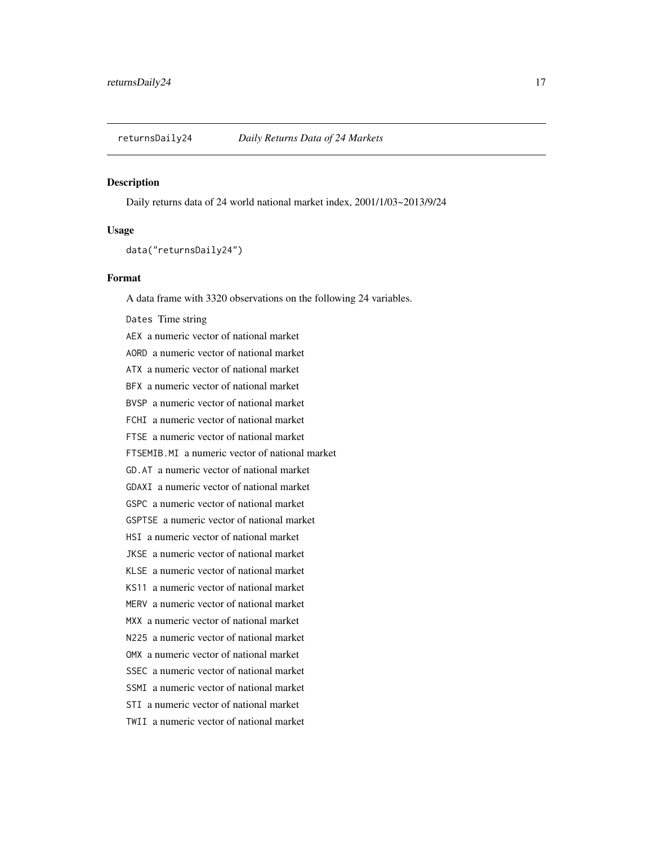<span id="page-16-0"></span>

Daily returns data of 24 world national market index, 2001/1/03~2013/9/24

#### Usage

data("returnsDaily24")

#### Format

A data frame with 3320 observations on the following 24 variables.

Dates Time string AEX a numeric vector of national market AORD a numeric vector of national market ATX a numeric vector of national market BFX a numeric vector of national market BVSP a numeric vector of national market FCHI a numeric vector of national market FTSE a numeric vector of national market FTSEMIB.MI a numeric vector of national market GD.AT a numeric vector of national market GDAXI a numeric vector of national market GSPC a numeric vector of national market GSPTSE a numeric vector of national market HSI a numeric vector of national market JKSE a numeric vector of national market KLSE a numeric vector of national market KS11 a numeric vector of national market MERV a numeric vector of national market MXX a numeric vector of national market N225 a numeric vector of national market OMX a numeric vector of national market SSEC a numeric vector of national market SSMI a numeric vector of national market STI a numeric vector of national market TWII a numeric vector of national market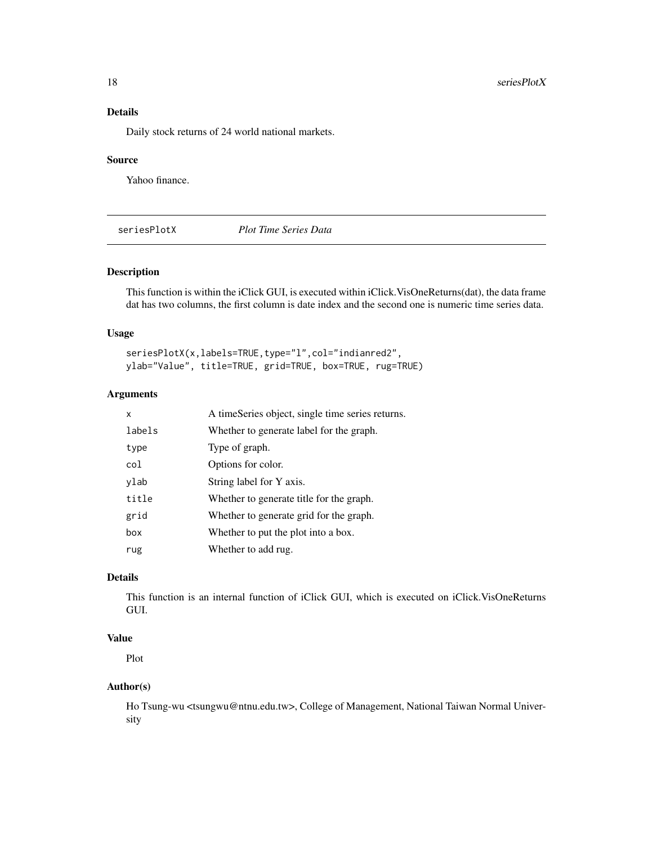### <span id="page-17-0"></span>Details

Daily stock returns of 24 world national markets.

#### Source

Yahoo finance.

seriesPlotX *Plot Time Series Data*

#### Description

This function is within the iClick GUI, is executed within iClick.VisOneReturns(dat), the data frame dat has two columns, the first column is date index and the second one is numeric time series data.

#### Usage

seriesPlotX(x,labels=TRUE,type="l",col="indianred2", ylab="Value", title=TRUE, grid=TRUE, box=TRUE, rug=TRUE)

# Arguments

| x      | A timeSeries object, single time series returns. |
|--------|--------------------------------------------------|
| labels | Whether to generate label for the graph.         |
| type   | Type of graph.                                   |
| col    | Options for color.                               |
| ylab   | String label for Y axis.                         |
| title  | Whether to generate title for the graph.         |
| grid   | Whether to generate grid for the graph.          |
| box    | Whether to put the plot into a box.              |
| rug    | Whether to add rug.                              |

#### Details

This function is an internal function of iClick GUI, which is executed on iClick.VisOneReturns GUI.

# Value

Plot

### Author(s)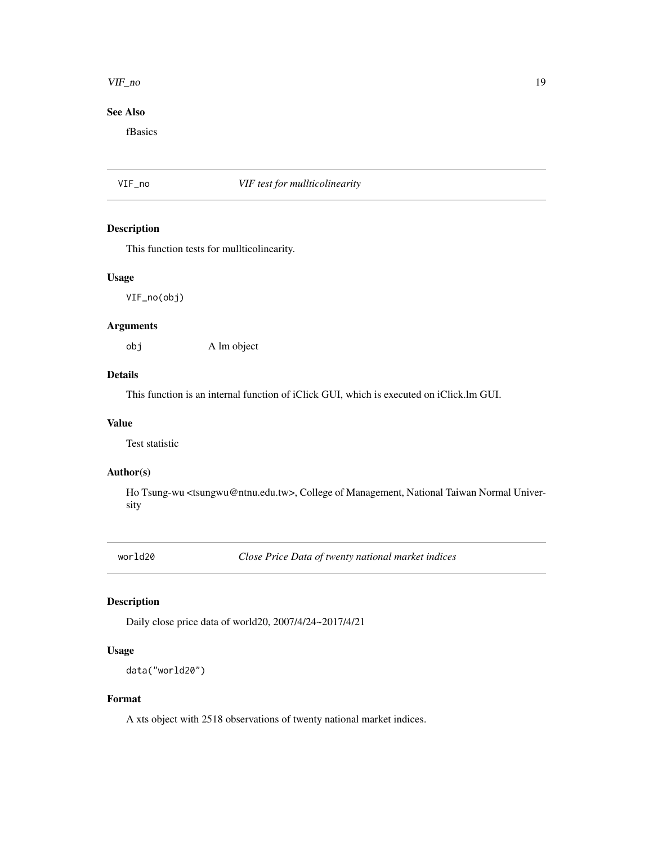#### <span id="page-18-0"></span>VIF\_no 19

# See Also

fBasics

#### VIF\_no *VIF test for mullticolinearity*

#### Description

This function tests for mullticolinearity.

#### Usage

VIF\_no(obj)

#### Arguments

obj A lm object

#### Details

This function is an internal function of iClick GUI, which is executed on iClick.lm GUI.

### Value

Test statistic

#### Author(s)

Ho Tsung-wu <tsungwu@ntnu.edu.tw>, College of Management, National Taiwan Normal University

world20 *Close Price Data of twenty national market indices*

# Description

Daily close price data of world20, 2007/4/24~2017/4/21

#### Usage

data("world20")

### Format

A xts object with 2518 observations of twenty national market indices.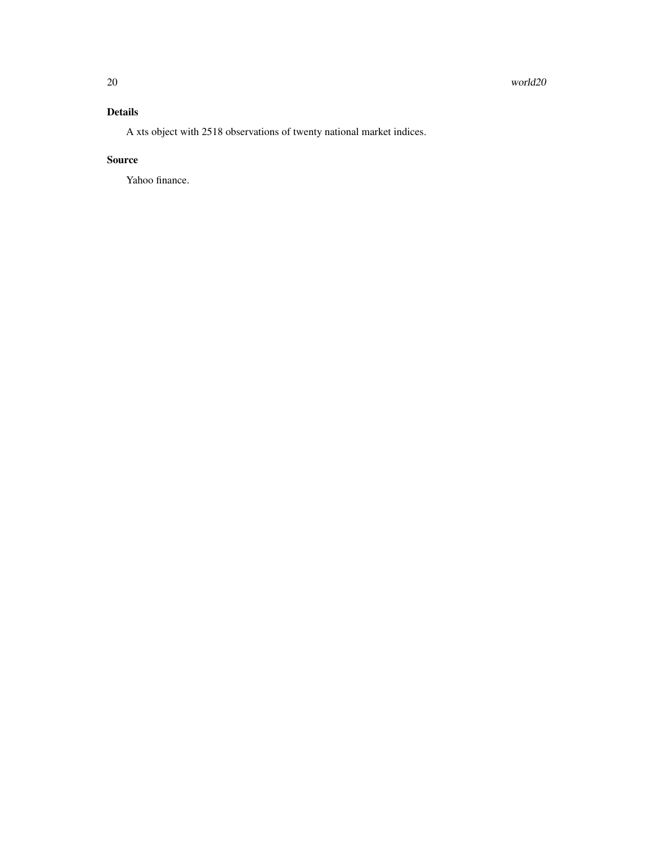# Details

A xts object with 2518 observations of twenty national market indices.

#### Source

Yahoo finance.